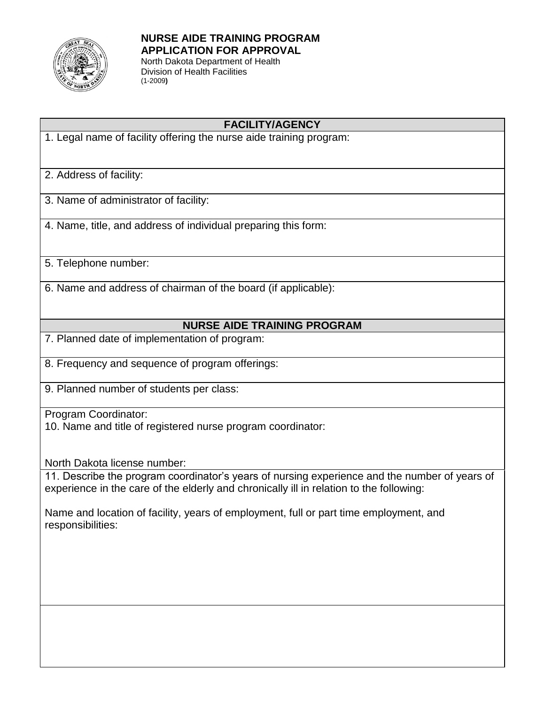

## **NURSE AIDE TRAINING PROGRAM APPLICATION FOR APPROVAL**

North Dakota Department of Health Division of Health Facilities (1-2009**)** 

### **FACILITY/AGENCY**

1. Legal name of facility offering the nurse aide training program:

2. Address of facility:

- 3. Name of administrator of facility:
- 4. Name, title, and address of individual preparing this form:
- 5. Telephone number:
- 6. Name and address of chairman of the board (if applicable):

#### **NURSE AIDE TRAINING PROGRAM**

- 7. Planned date of implementation of program:
- 8. Frequency and sequence of program offerings:
- 9. Planned number of students per class:

Program Coordinator:

10. Name and title of registered nurse program coordinator:

North Dakota license number:

11. Describe the program coordinator's years of nursing experience and the number of years of experience in the care of the elderly and chronically ill in relation to the following:

Name and location of facility, years of employment, full or part time employment, and responsibilities: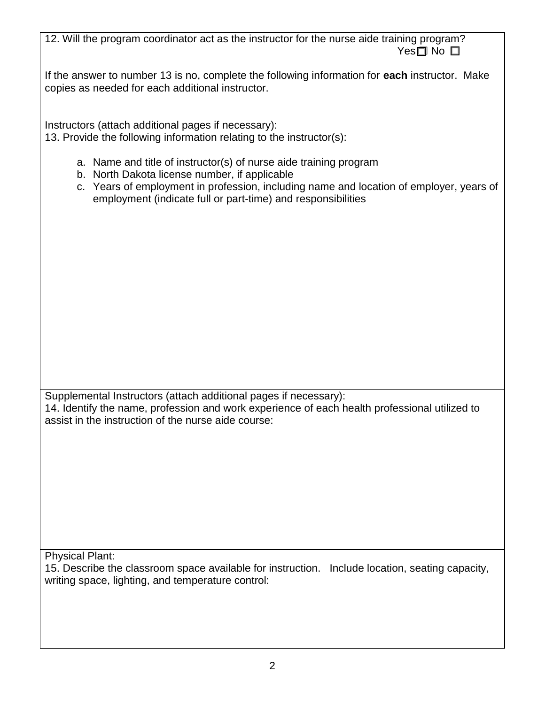12. Will the program coordinator act as the instructor for the nurse aide training program?  $Yes \Box No \Box$ 

If the answer to number 13 is no, complete the following information for **each** instructor. Make copies as needed for each additional instructor.

Instructors (attach additional pages if necessary): 13. Provide the following information relating to the instructor(s):

- a. Name and title of instructor(s) of nurse aide training program
- b. North Dakota license number, if applicable
- c. Years of employment in profession, including name and location of employer, years of employment (indicate full or part-time) and responsibilities

Supplemental Instructors (attach additional pages if necessary): 14. Identify the name, profession and work experience of each health professional utilized to assist in the instruction of the nurse aide course:

Physical Plant:

15. Describe the classroom space available for instruction. Include location, seating capacity, writing space, lighting, and temperature control: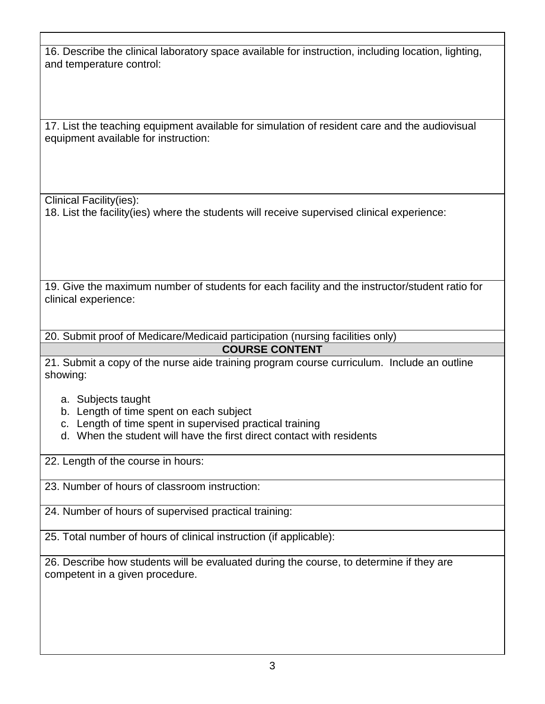16. Describe the clinical laboratory space available for instruction, including location, lighting, and temperature control:

17. List the teaching equipment available for simulation of resident care and the audiovisual equipment available for instruction:

Clinical Facility(ies):

18. List the facility(ies) where the students will receive supervised clinical experience:

19. Give the maximum number of students for each facility and the instructor/student ratio for clinical experience:

20. Submit proof of Medicare/Medicaid participation (nursing facilities only)

# **COURSE CONTENT**

21. Submit a copy of the nurse aide training program course curriculum. Include an outline showing:

- a. Subjects taught
- b. Length of time spent on each subject
- c. Length of time spent in supervised practical training
- d. When the student will have the first direct contact with residents

22. Length of the course in hours:

23. Number of hours of classroom instruction:

24. Number of hours of supervised practical training:

25. Total number of hours of clinical instruction (if applicable):

26. Describe how students will be evaluated during the course, to determine if they are competent in a given procedure.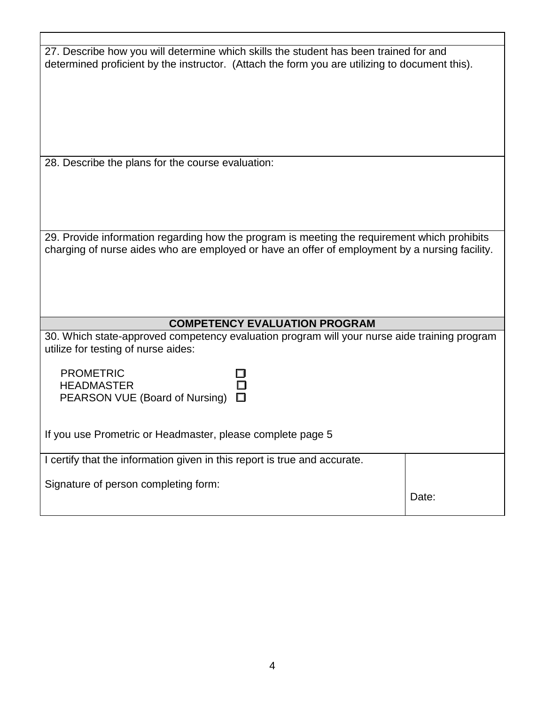| 27. Describe how you will determine which skills the student has been trained for and<br>determined proficient by the instructor. (Attach the form you are utilizing to document this).        |       |
|------------------------------------------------------------------------------------------------------------------------------------------------------------------------------------------------|-------|
|                                                                                                                                                                                                |       |
|                                                                                                                                                                                                |       |
|                                                                                                                                                                                                |       |
|                                                                                                                                                                                                |       |
| 28. Describe the plans for the course evaluation:                                                                                                                                              |       |
|                                                                                                                                                                                                |       |
|                                                                                                                                                                                                |       |
| 29. Provide information regarding how the program is meeting the requirement which prohibits<br>charging of nurse aides who are employed or have an offer of employment by a nursing facility. |       |
|                                                                                                                                                                                                |       |
|                                                                                                                                                                                                |       |
| <b>COMPETENCY EVALUATION PROGRAM</b>                                                                                                                                                           |       |
| 30. Which state-approved competency evaluation program will your nurse aide training program<br>utilize for testing of nurse aides:                                                            |       |
| <b>PROMETRIC</b>                                                                                                                                                                               |       |
| <b>HEADMASTER</b><br>PEARSON VUE (Board of Nursing)                                                                                                                                            |       |
|                                                                                                                                                                                                |       |
| If you use Prometric or Headmaster, please complete page 5                                                                                                                                     |       |
| I certify that the information given in this report is true and accurate.                                                                                                                      |       |
| Signature of person completing form:                                                                                                                                                           | Date: |
|                                                                                                                                                                                                |       |